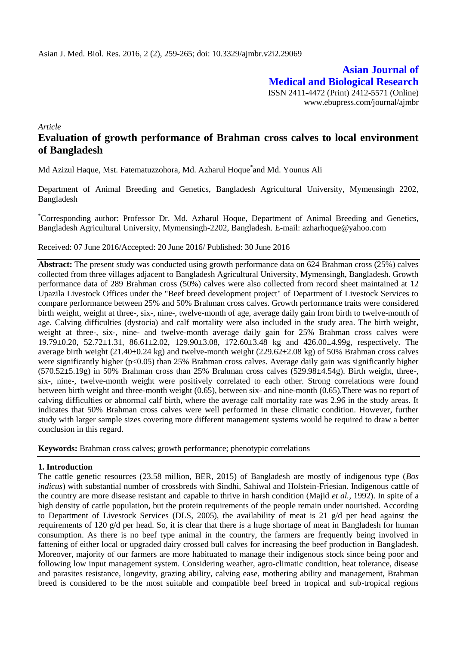**Asian Journal of Medical and Biological Research** ISSN 2411-4472 (Print) 2412-5571 (Online) www.ebupress.com/journal/ajmbr

*Article*

# **Evaluation of growth performance of Brahman cross calves to local environment of Bangladesh**

Md Azizul Haque, Mst. Fatematuzzohora, Md. Azharul Hoque\* and Md. Younus Ali

Department of Animal Breeding and Genetics, Bangladesh Agricultural University, Mymensingh 2202, Bangladesh

\*Corresponding author: Professor Dr. Md. Azharul Hoque, Department of Animal Breeding and Genetics, Bangladesh Agricultural University, Mymensingh-2202, Bangladesh. E-mail: azharhoque@yahoo.com

Received: 07 June 2016/Accepted: 20 June 2016/ Published: 30 June 2016

**Abstract:** The present study was conducted using growth performance data on 624 Brahman cross (25%) calves collected from three villages adjacent to Bangladesh Agricultural University, Mymensingh, Bangladesh. Growth performance data of 289 Brahman cross (50%) calves were also collected from record sheet maintained at 12 Upazila Livestock Offices under the "Beef breed development project" of Department of Livestock Services to compare performance between 25% and 50% Brahman cross calves. Growth performance traits were considered birth weight, weight at three-, six-, nine-, twelve-month of age, average daily gain from birth to twelve-month of age. Calving difficulties (dystocia) and calf mortality were also included in the study area. The birth weight, weight at three-, six-, nine- and twelve-month average daily gain for 25% Brahman cross calves were 19.79±0.20, 52.72±1.31, 86.61±2.02, 129.90±3.08, 172.60±3.48 kg and 426.00±4.99g, respectively. The average birth weight (21.40±0.24 kg) and twelve-month weight (229.62±2.08 kg) of 50% Brahman cross calves were significantly higher (p<0.05) than 25% Brahman cross calves. Average daily gain was significantly higher  $(570.52\pm5.19g)$  in 50% Brahman cross than 25% Brahman cross calves  $(529.98\pm4.54g)$ . Birth weight, three-, six-, nine-, twelve-month weight were positively correlated to each other. Strong correlations were found between birth weight and three-month weight (0.65), between six- and nine-month (0.65).There was no report of calving difficulties or abnormal calf birth, where the average calf mortality rate was 2.96 in the study areas. It indicates that 50% Brahman cross calves were well performed in these climatic condition. However, further study with larger sample sizes covering more different management systems would be required to draw a better conclusion in this regard.

**Keywords:** Brahman cross calves; growth performance; phenotypic correlations

### **1. Introduction**

The cattle genetic resources (23.58 million, BER, 2015) of Bangladesh are mostly of indigenous type (*Bos indicus*) with substantial number of crossbreds with Sindhi, Sahiwal and Holstein-Friesian. Indigenous cattle of the country are more disease resistant and capable to thrive in harsh condition (Majid *et al.,* 1992). In spite of a high density of cattle population, but the protein requirements of the people remain under nourished. According to Department of Livestock Services (DLS, 2005), the availability of meat is 21 g/d per head against the requirements of 120 g/d per head. So, it is clear that there is a huge shortage of meat in Bangladesh for human consumption. As there is no beef type animal in the country, the farmers are frequently being involved in fattening of either local or upgraded dairy crossed bull calves for increasing the beef production in Bangladesh. Moreover, majority of our farmers are more habituated to manage their indigenous stock since being poor and following low input management system. Considering weather, agro-climatic condition, heat tolerance, disease and parasites resistance, longevity, grazing ability, calving ease, mothering ability and management, Brahman breed is considered to be the most suitable and compatible beef breed in tropical and sub-tropical regions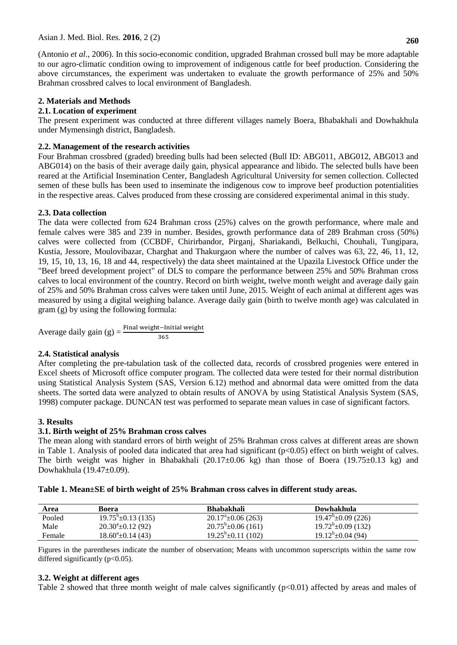(Antonio *et al*., 2006). In this socio-economic condition, upgraded Brahman crossed bull may be more adaptable to our agro-climatic condition owing to improvement of indigenous cattle for beef production. Considering the above circumstances, the experiment was undertaken to evaluate the growth performance of 25% and 50% Brahman crossbred calves to local environment of Bangladesh.

# **2. Materials and Methods**

# **2.1. Location of experiment**

The present experiment was conducted at three different villages namely Boera, Bhabakhali and Dowhakhula under Mymensingh district, Bangladesh.

# **2.2. Management of the research activities**

Four Brahman crossbred (graded) breeding bulls had been selected (Bull ID: ABG011, ABG012, ABG013 and ABG014) on the basis of their average daily gain, physical appearance and libido. The selected bulls have been reared at the Artificial Insemination Center, Bangladesh Agricultural University for semen collection. Collected semen of these bulls has been used to inseminate the indigenous cow to improve beef production potentialities in the respective areas. Calves produced from these crossing are considered experimental animal in this study.

# **2.3. Data collection**

The data were collected from 624 Brahman cross (25%) calves on the growth performance, where male and female calves were 385 and 239 in number. Besides, growth performance data of 289 Brahman cross (50%) calves were collected from (CCBDF, Chirirbandor, Pirganj, Shariakandi, Belkuchi, Chouhali, Tungipara, Kustia, Jessore, Moulovibazar, Charghat and Thakurgaon where the number of calves was 63, 22, 46, 11, 12, 19, 15, 10, 13, 16, 18 and 44, respectively) the data sheet maintained at the Upazila Livestock Office under the "Beef breed development project" of DLS to compare the performance between 25% and 50% Brahman cross calves to local environment of the country. Record on birth weight, twelve month weight and average daily gain of 25% and 50% Brahman cross calves were taken until June, 2015. Weight of each animal at different ages was measured by using a digital weighing balance. Average daily gain (birth to twelve month age) was calculated in gram (g) by using the following formula:

Average daily gain (g)  $=$   $\frac{\text{Final weight}}{3}$ 

# **2.4. Statistical analysis**

After completing the pre-tabulation task of the collected data, records of crossbred progenies were entered in Excel sheets of Microsoft office computer program. The collected data were tested for their normal distribution using Statistical Analysis System (SAS, Version 6.12) method and abnormal data were omitted from the data sheets. The sorted data were analyzed to obtain results of ANOVA by using Statistical Analysis System (SAS, 1998) computer package. DUNCAN test was performed to separate mean values in case of significant factors.

# **3. Results**

# **3.1. Birth weight of 25% Brahman cross calves**

The mean along with standard errors of birth weight of 25% Brahman cross calves at different areas are shown in Table 1. Analysis of pooled data indicated that area had significant  $(p<0.05)$  effect on birth weight of calves. The birth weight was higher in Bhabakhali  $(20.17\pm0.06 \text{ kg})$  than those of Boera  $(19.75\pm0.13 \text{ kg})$  and Dowhakhula (19.47±0.09).

| Area   | Boera                        | <b>Bhabakhali</b>           | Dowhakhula                  |  |
|--------|------------------------------|-----------------------------|-----------------------------|--|
| Pooled | $19.75^{\circ}$ ± 0.13 (135) | $20.17^{\circ}$ ±0.06 (263) | $19.47^{\circ}$ ±0.09 (226) |  |
| Male   | $20.30^{\circ}$ ±0.12 (92)   | $20.75^{\circ}$ ±0.06 (161) | $19.72^b \pm 0.09$ (132)    |  |
| Female | $18.60^{\circ}$ ±0.14 (43)   | $19.25^b \pm 0.11$ (102)    | $19.12^b \pm 0.04$ (94)     |  |

**Table 1. Mean±SE of birth weight of 25% Brahman cross calves in different study areas.**

Figures in the parentheses indicate the number of observation; Means with uncommon superscripts within the same row differed significantly  $(p<0.05)$ .

# **3.2. Weight at different ages**

Table 2 showed that three month weight of male calves significantly (p<0.01) affected by areas and males of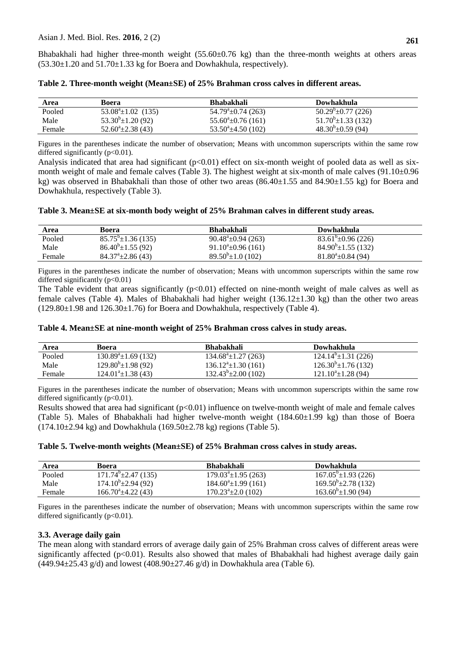Bhabakhali had higher three-month weight (55.60±0.76 kg) than the three-month weights at others areas  $(53.30\pm1.20$  and  $51.70\pm1.33$  kg for Boera and Dowhakhula, respectively).

| Area   | Boera                          | <b>Bhabakhali</b>           | Dowhakhula                  |  |
|--------|--------------------------------|-----------------------------|-----------------------------|--|
| Pooled | $53.08^{\circ} \pm 1.02$ (135) | $54.79^{\circ}$ ±0.74 (263) | $50.29^{\circ}$ ±0.77 (226) |  |
| Male   | $53.30^{\circ} \pm 1.20$ (92)  | $55.60^{\circ}$ ±0.76 (161) | $51.70^b \pm 1.33$ (132)    |  |
| Female | $52.60^{\circ}$ ±2.38 (43)     | $53.50^{\circ}$ ±4.50 (102) | $48.30^{b} \pm 0.59$ (94)   |  |

**Table 2. Three-month weight (Mean±SE) of 25% Brahman cross calves in different areas.**

Figures in the parentheses indicate the number of observation; Means with uncommon superscripts within the same row differed significantly  $(p<0.01)$ .

Analysis indicated that area had significant  $(p<0.01)$  effect on six-month weight of pooled data as well as sixmonth weight of male and female calves (Table 3). The highest weight at six-month of male calves  $(91.10\pm0.96$ kg) was observed in Bhabakhali than those of other two areas  $(86.40\pm1.55 \text{ and } 84.90\pm1.55 \text{ kg})$  for Boera and Dowhakhula, respectively (Table 3).

**Table 3. Mean±SE at six-month body weight of 25% Brahman calves in different study areas.** 

| Area   | Boera                        | <b>Bhabakhali</b>             | Dowhakhula                   |
|--------|------------------------------|-------------------------------|------------------------------|
| Pooled | $85.75^{\circ}$ ±1.36 (135)  | $90.48^{\circ}$ ± 0.94 (263)  | $83.61^{\circ}$ ± 0.96 (226) |
| Male   | $86.40^{\circ} \pm 1.55(92)$ | $91.10^{\circ}$ ±0.96 (161)   | $84.90^{\circ}$ ±1.55 (132)  |
| Female | $84.37^{\circ}$ ±2.86 (43)   | $89.50^{\circ} \pm 1.0$ (102) | $81.80^{\circ}$ ±0.84 (94)   |

Figures in the parentheses indicate the number of observation; Means with uncommon superscripts within the same row differed significantly  $(p<0.01)$ 

The Table evident that areas significantly  $(p<0.01)$  effected on nine-month weight of male calves as well as female calves (Table 4). Males of Bhabakhali had higher weight  $(136.12\pm1.30 \text{ kg})$  than the other two areas  $(129.80\pm1.98$  and  $126.30\pm1.76$ ) for Boera and Dowhakhula, respectively (Table 4).

### **Table 4. Mean±SE at nine-month weight of 25% Brahman cross calves in study areas.**

| Area   | Boera                         | <b>Bhabakhali</b>               | Dowhakhula                      |
|--------|-------------------------------|---------------------------------|---------------------------------|
| Pooled | $130.89^{\circ}$ ±1.69 (132)  | $134.68^{\circ} \pm 1.27$ (263) | $124.14^{\circ} \pm 1.31$ (226) |
| Male   | $129.80^{\circ}$ ±1.98 (92)   | $136.12^{\circ}$ ±1.30 (161)    | $126.30^b \pm 1.76(132)$        |
| Female | $124.01^{\degree}\pm1.38(43)$ | $132.43^{\circ} \pm 2.00$ (102) | $121.10^{\circ} \pm 1.28$ (94)  |

Figures in the parentheses indicate the number of observation; Means with uncommon superscripts within the same row differed significantly  $(p<0.01)$ .

Results showed that area had significant  $(p<0.01)$  influence on twelve-month weight of male and female calves (Table 5). Males of Bhabakhali had higher twelve-month weight  $(184.60\pm1.99 \text{ kg})$  than those of Boera  $(174.10\pm 2.94 \text{ kg})$  and Dowhakhula  $(169.50\pm 2.78 \text{ kg})$  regions (Table 5).

#### **Table 5. Twelve-month weights (Mean±SE) of 25% Brahman cross calves in study areas.**

| Area   | Boera                         | <b>Bhabakhali</b>            | Dowhakhula                     |  |
|--------|-------------------------------|------------------------------|--------------------------------|--|
| Pooled | $171.74^{\circ}$ ± 2.47 (135) | $179.03^{\circ}$ ±1.95 (263) | $167.05^{\circ}$ ±1.93 (226)   |  |
| Male   | $174.10^{\circ}$ ±2.94 (92)   | $184.60^{\circ}$ ±1.99 (161) | $169.50^{\circ}$ ±2.78 (132)   |  |
| Female | $166.70^{\circ}$ ±4.22 (43)   | $170.23^{\circ}$ ±2.0 (102)  | $163.60^{\circ} \pm 1.90$ (94) |  |

Figures in the parentheses indicate the number of observation; Means with uncommon superscripts within the same row differed significantly  $(p<0.01)$ .

### **3.3. Average daily gain**

The mean along with standard errors of average daily gain of 25% Brahman cross calves of different areas were significantly affected (p<0.01). Results also showed that males of Bhabakhali had highest average daily gain  $(449.94 \pm 25.43 \text{ g/d})$  and lowest  $(408.90 \pm 27.46 \text{ g/d})$  in Dowhakhula area (Table 6).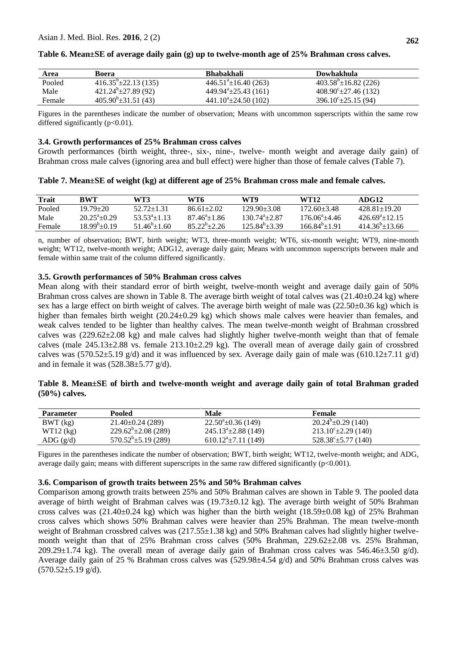| Area   | Boera                          | <b>Bhabakhali</b>                     | Dowhakhula                     |  |
|--------|--------------------------------|---------------------------------------|--------------------------------|--|
| Pooled | $416.35^{\circ}$ ± 22.13 (135) | $446.51^{\circ}$ ± 16.40 (263)        | $403.58^{\circ}$ ±16.82 (226)  |  |
| Male   | $421.24^b \pm 27.89$ (92)      | 449.94 <sup>a</sup> $\pm$ 25.43 (161) | $408.90^{\circ}$ ± 27.46 (132) |  |
| Female | $405.90^{\circ}$ ±31.51 (43)   | $441.10^{\circ}$ ±24.50 (102)         | $396.10^{\circ}$ ± 25.15 (94)  |  |

#### **Table 6. Mean±SE of average daily gain (g) up to twelve-month age of 25% Brahman cross calves.**

Figures in the parentheses indicate the number of observation; Means with uncommon superscripts within the same row differed significantly  $(p<0.01)$ .

#### **3.4. Growth performances of 25% Brahman cross calves**

Growth performances (birth weight, three-, six-, nine-, twelve- month weight and average daily gain) of Brahman cross male calves (ignoring area and bull effect) were higher than those of female calves (Table 7).

|  |  |  | Table 7. Mean±SE of weight (kg) at different age of 25% Brahman cross male and female calves. |  |
|--|--|--|-----------------------------------------------------------------------------------------------|--|
|--|--|--|-----------------------------------------------------------------------------------------------|--|

| <b>Trait</b> | BWT                  | WT3-                 | WT6                  | WT9               | WT12                    | ADG12                  |
|--------------|----------------------|----------------------|----------------------|-------------------|-------------------------|------------------------|
| Pooled       | $19.79 + 20$         | $52.72 + 1.31$       | $86.61 + 2.02$       | $129.90 + 3.08$   | $172.60 + 3.48$         | $428.81 + 19.20$       |
| Male         | $20.25^{\circ}+0.29$ | $53.53^{a}+1.13$     | $87.46^{\circ}+1.86$ | $130.74^{a}+2.87$ | $176.06^{\circ} + 4.46$ | $426.69^{\circ}+12.15$ |
| Female       | $18.99^{b}+0.19$     | $51.46^{\circ}+1.60$ | $85.22^{\circ}+2.26$ | $125.84^{b}+3.39$ | $166.84^{b}+1.91$       | $414.36^{\circ}+13.66$ |

n, number of observation; BWT, birth weight; WT3, three-month weight; WT6, six-month weight; WT9, nine-month weight; WT12, twelve-month weight; ADG12, average daily gain; Means with uncommon superscripts between male and female within same trait of the column differed significantly.

#### **3.5. Growth performances of 50% Brahman cross calves**

Mean along with their standard error of birth weight, twelve-month weight and average daily gain of 50% Brahman cross calves are shown in Table 8. The average birth weight of total calves was  $(21.40\pm0.24 \text{ kg})$  where sex has a large effect on birth weight of calves. The average birth weight of male was (22.50±0.36 kg) which is higher than females birth weight (20.24±0.29 kg) which shows male calves were heavier than females, and weak calves tended to be lighter than healthy calves. The mean twelve-month weight of Brahman crossbred calves was (229.62±2.08 kg) and male calves had slightly higher twelve-month weight than that of female calves (male 245.13±2.88 vs. female 213.10±2.29 kg). The overall mean of average daily gain of crossbred calves was (570.52 $\pm$ 5.19 g/d) and it was influenced by sex. Average daily gain of male was (610.12 $\pm$ 7.11 g/d) and in female it was  $(528.38 \pm 5.77 \text{ g/d})$ .

#### **Table 8. Mean±SE of birth and twelve-month weight and average daily gain of total Brahman graded (50%) calves.**

| <b>Parameter</b> | Pooled                    | Male                            | <b>Female</b>                 |  |
|------------------|---------------------------|---------------------------------|-------------------------------|--|
| BWT (kg)         | $21.40\pm0.24(289)$       | $22.50^{\circ}$ ±0.36 (149)     | $20.24^{\circ}$ ±0.29 (140)   |  |
| $WT12$ (kg)      | $229.62^b \pm 2.08(289)$  | $245.13^{\circ}$ ± 2.88 (149)   | $213.10^{\circ}$ ± 2.29 (140) |  |
| ADG $(g/d)$      | $570.52^b \pm 5.19$ (289) | $610.12^{\text{a}}$ ±7.11 (149) | $528.38^{\circ}$ ± 5.77 (140) |  |

Figures in the parentheses indicate the number of observation; BWT, birth weight; WT12, twelve-month weight; and ADG, average daily gain; means with different superscripts in the same raw differed significantly (p<0.001).

#### **3.6. Comparison of growth traits between 25% and 50% Brahman calves**

Comparison among growth traits between 25% and 50% Brahman calves are shown in Table 9. The pooled data average of birth weight of Brahman calves was (19.73±0.12 kg). The average birth weight of 50% Brahman cross calves was  $(21.40\pm0.24 \text{ kg})$  which was higher than the birth weight  $(18.59\pm0.08 \text{ kg})$  of 25% Brahman cross calves which shows 50% Brahman calves were heavier than 25% Brahman. The mean twelve-month weight of Brahman crossbred calves was  $(217.55\pm1.38 \text{ kg})$  and 50% Brahman calves had slightly higher twelvemonth weight than that of 25% Brahman cross calves (50% Brahman, 229.62±2.08 vs. 25% Brahman, 209.29 $\pm$ 1.74 kg). The overall mean of average daily gain of Brahman cross calves was 546.46 $\pm$ 3.50 g/d). Average daily gain of 25 % Brahman cross calves was  $(529.98\pm4.54 \text{ g/d})$  and 50% Brahman cross calves was  $(570.52 \pm 5.19 \text{ g/d}).$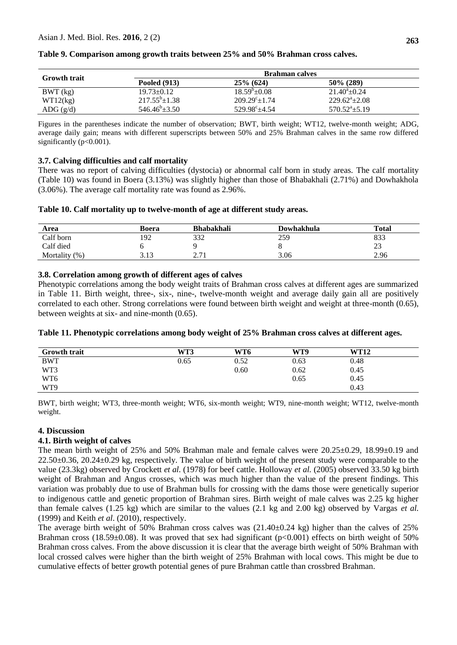|                                         | <b>Brahman calves</b> |                        |                        |  |  |  |
|-----------------------------------------|-----------------------|------------------------|------------------------|--|--|--|
| <b>Growth trait</b>                     | <b>Pooled (913)</b>   | $25\%$ (624)           | $50\%$ (289)           |  |  |  |
| BWT (kg)                                | $19.73 \pm 0.12$      | $18.59^{\circ}+0.08$   | $21.40^{\circ}$ ± 0.24 |  |  |  |
| WT12(kg)                                | $217.55^b \pm 1.38$   | $209.29^{\circ}+1.74$  | $229.62^{\circ}+2.08$  |  |  |  |
| $\text{ADG} \left( \frac{g}{d} \right)$ | $546.46^b \pm 3.50$   | $529.98^{\circ}$ ±4.54 | $570.52^a \pm 5.19$    |  |  |  |

#### **Table 9. Comparison among growth traits between 25% and 50% Brahman cross calves.**

Figures in the parentheses indicate the number of observation; BWT, birth weight; WT12, twelve-month weight; ADG, average daily gain; means with different superscripts between 50% and 25% Brahman calves in the same row differed significantly (p<0.001).

#### **3.7. Calving difficulties and calf mortality**

There was no report of calving difficulties (dystocia) or abnormal calf born in study areas. The calf mortality (Table 10) was found in Boera (3.13%) was slightly higher than those of Bhabakhali (2.71%) and Dowhakhola (3.06%). The average calf mortality rate was found as 2.96%.

#### **Table 10. Calf mortality up to twelve-month of age at different study areas.**

| Area          | Boera       | <b>Bhabakhali</b>                    | Dowhakhula | <b>Total</b> |
|---------------|-------------|--------------------------------------|------------|--------------|
| Calf born     | 192         | 332                                  | 259        | 833          |
| Calf died     |             |                                      |            | ΩΩ<br>ل ک    |
| Mortality (%) | 212<br>J.IJ | า ¬ 1<br>$\sim$ $\sim$ $\sim$ $\sim$ | 3.06       | 2.96         |

#### **3.8. Correlation among growth of different ages of calves**

Phenotypic correlations among the body weight traits of Brahman cross calves at different ages are summarized in Table 11. Birth weight, three-, six-, nine-, twelve-month weight and average daily gain all are positively correlated to each other. Strong correlations were found between birth weight and weight at three-month (0.65), between weights at six- and nine-month (0.65).

|  | Table 11. Phenotypic correlations among body weight of 25% Brahman cross calves at different ages. |  |  |  |  |
|--|----------------------------------------------------------------------------------------------------|--|--|--|--|
|  |                                                                                                    |  |  |  |  |

| <b>Growth trait</b> | WT3  | WT6  | WT9  | <b>WT12</b> |  |
|---------------------|------|------|------|-------------|--|
| <b>BWT</b>          | 0.65 | 0.52 | 0.63 | 0.48        |  |
| WT3                 |      | 0.60 | 0.62 | 0.45        |  |
| WT <sub>6</sub>     |      |      | 0.65 | 0.45        |  |
| WT9                 |      |      |      | 0.43        |  |

BWT, birth weight; WT3, three-month weight; WT6, six-month weight; WT9, nine-month weight; WT12, twelve-month weight.

### **4. Discussion**

### **4.1. Birth weight of calves**

The mean birth weight of 25% and 50% Brahman male and female calves were 20.25±0.29, 18.99±0.19 and  $22.50\pm0.36$ ,  $20.24\pm0.29$  kg, respectively. The value of birth weight of the present study were comparable to the value (23.3kg) observed by Crockett *et al.* (1978) for beef cattle. Holloway *et al.* (2005) observed 33.50 kg birth weight of Brahman and Angus crosses, which was much higher than the value of the present findings. This variation was probably due to use of Brahman bulls for crossing with the dams those were genetically superior to indigenous cattle and genetic proportion of Brahman sires. Birth weight of male calves was 2.25 kg higher than female calves (1.25 kg) which are similar to the values (2.1 kg and 2.00 kg) observed by Vargas *et al.* (1999) and Keith *et al*. (2010), respectively.

The average birth weight of 50% Brahman cross calves was  $(21.40\pm0.24 \text{ kg})$  higher than the calves of 25% Brahman cross (18.59±0.08). It was proved that sex had significant ( $p<0.001$ ) effects on birth weight of 50% Brahman cross calves. From the above discussion it is clear that the average birth weight of 50% Brahman with local crossed calves were higher than the birth weight of 25% Brahman with local cows. This might be due to cumulative effects of better growth potential genes of pure Brahman cattle than crossbred Brahman.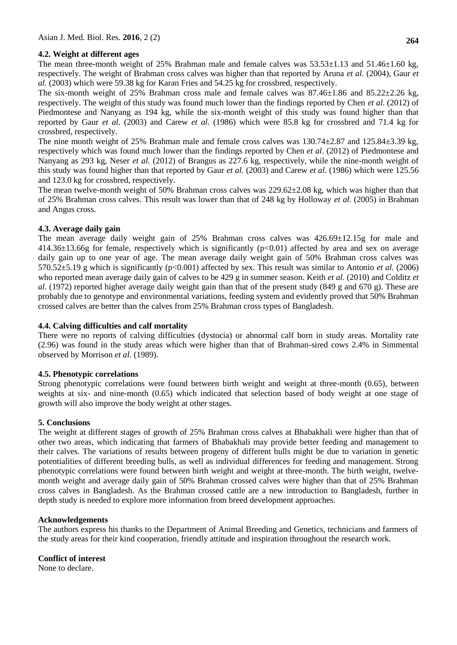### **4.2. Weight at different ages**

The mean three-month weight of 25% Brahman male and female calves was  $53.53\pm1.13$  and  $51.46\pm1.60$  kg, respectively. The weight of Brahman cross calves was higher than that reported by Aruna *et al.* (2004), Gaur *et al.* (2003) which were 59.38 kg for Karan Fries and 54.25 kg for crossbred, respectively.

The six-month weight of 25% Brahman cross male and female calves was  $87.46\pm1.86$  and  $85.22\pm2.26$  kg, respectively. The weight of this study was found much lower than the findings reported by Chen *et al.* (2012) of Piedmontese and Nanyang as 194 kg, while the six-month weight of this study was found higher than that reported by Gaur *et al.* (2003) and Carew *et al.* (1986) which were 85.8 kg for crossbred and 71.4 kg for crossbred, respectively.

The nine month weight of 25% Brahman male and female cross calves was 130.74±2.87 and 125.84±3.39 kg, respectively which was found much lower than the findings reported by Chen *et al*. (2012) of Piedmontese and Nanyang as 293 kg, Neser *et al.* (2012) of Brangus as 227.6 kg, respectively, while the nine-month weight of this study was found higher than that reported by Gaur *et al.* (2003) and Carew *et al.* (1986) which were 125.56 and 123.0 kg for crossbred, respectively.

The mean twelve-month weight of 50% Brahman cross calves was 229.62±2.08 kg, which was higher than that of 25% Brahman cross calves. This result was lower than that of 248 kg by Holloway *et al.* (2005) in Brahman and Angus cross.

### **4.3. Average daily gain**

The mean average daily weight gain of 25% Brahman cross calves was 426.69±12.15g for male and  $414.36\pm13.66g$  for female, respectively which is significantly ( $p<0.01$ ) affected by area and sex on average daily gain up to one year of age. The mean average daily weight gain of 50% Brahman cross calves was 570.52±5.19 g which is significantly (p<0.001) affected by sex. This result was similar to Antonio *et al.* (2006) who reported mean average daily gain of calves to be 429 g in summer season. Keith *et al*. (2010) and Colditz *et al*. (1972) reported higher average daily weight gain than that of the present study (849 g and 670 g). These are probably due to genotype and environmental variations, feeding system and evidently proved that 50% Brahman crossed calves are better than the calves from 25% Brahman cross types of Bangladesh.

### **4.4. Calving difficulties and calf mortality**

There were no reports of calving difficulties (dystocia) or abnormal calf born in study areas. Mortality rate (2.96) was found in the study areas which were higher than that of Brahman-sired cows 2.4% in Simmental observed by Morrison *et al.* (1989).

### **4.5. Phenotypic correlations**

Strong phenotypic correlations were found between birth weight and weight at three-month (0.65), between weights at six- and nine-month (0.65) which indicated that selection based of body weight at one stage of growth will also improve the body weight at other stages.

### **5. Conclusions**

The weight at different stages of growth of 25% Brahman cross calves at Bhabakhali were higher than that of other two areas, which indicating that farmers of Bhabakhali may provide better feeding and management to their calves. The variations of results between progeny of different bulls might be due to variation in genetic potentialities of different breeding bulls, as well as individual differences for feeding and management. Strong phenotypic correlations were found between birth weight and weight at three-month. The birth weight, twelvemonth weight and average daily gain of 50% Brahman crossed calves were higher than that of 25% Brahman cross calves in Bangladesh. As the Brahman crossed cattle are a new introduction to Bangladesh, further in depth study is needed to explore more information from breed development approaches.

### **Acknowledgements**

The authors express his thanks to the Department of Animal Breeding and Genetics, technicians and farmers of the study areas for their kind cooperation, friendly attitude and inspiration throughout the research work.

# **Conflict of interest**

None to declare.